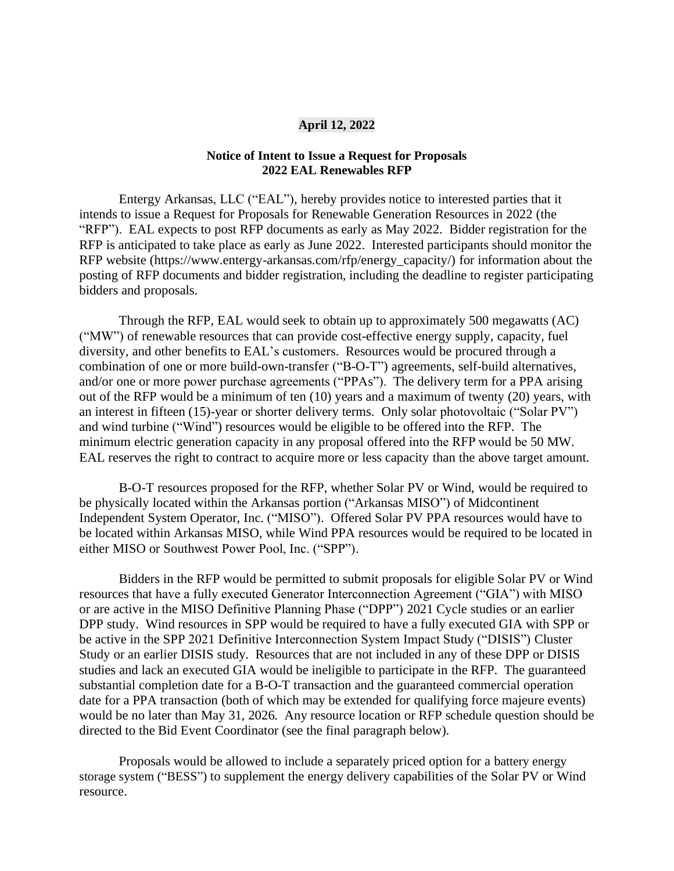## **April 12, 2022**

## **Notice of Intent to Issue a Request for Proposals 2022 EAL Renewables RFP**

Entergy Arkansas, LLC ("EAL"), hereby provides notice to interested parties that it intends to issue a Request for Proposals for Renewable Generation Resources in 2022 (the "RFP"). EAL expects to post RFP documents as early as May 2022. Bidder registration for the RFP is anticipated to take place as early as June 2022. Interested participants should monitor the RFP website (https://www.entergy-arkansas.com/rfp/energy\_capacity/) for information about the posting of RFP documents and bidder registration, including the deadline to register participating bidders and proposals.

Through the RFP, EAL would seek to obtain up to approximately 500 megawatts (AC) ("MW") of renewable resources that can provide cost-effective energy supply, capacity, fuel diversity, and other benefits to EAL's customers. Resources would be procured through a combination of one or more build-own-transfer ("B-O-T") agreements, self-build alternatives, and/or one or more power purchase agreements ("PPAs"). The delivery term for a PPA arising out of the RFP would be a minimum of ten (10) years and a maximum of twenty (20) years, with an interest in fifteen (15)-year or shorter delivery terms. Only solar photovoltaic ("Solar PV") and wind turbine ("Wind") resources would be eligible to be offered into the RFP. The minimum electric generation capacity in any proposal offered into the RFP would be 50 MW. EAL reserves the right to contract to acquire more or less capacity than the above target amount.

B-O-T resources proposed for the RFP, whether Solar PV or Wind, would be required to be physically located within the Arkansas portion ("Arkansas MISO") of Midcontinent Independent System Operator, Inc. ("MISO"). Offered Solar PV PPA resources would have to be located within Arkansas MISO, while Wind PPA resources would be required to be located in either MISO or Southwest Power Pool, Inc. ("SPP").

Bidders in the RFP would be permitted to submit proposals for eligible Solar PV or Wind resources that have a fully executed Generator Interconnection Agreement ("GIA") with MISO or are active in the MISO Definitive Planning Phase ("DPP") 2021 Cycle studies or an earlier DPP study. Wind resources in SPP would be required to have a fully executed GIA with SPP or be active in the SPP 2021 Definitive Interconnection System Impact Study ("DISIS") Cluster Study or an earlier DISIS study. Resources that are not included in any of these DPP or DISIS studies and lack an executed GIA would be ineligible to participate in the RFP. The guaranteed substantial completion date for a B-O-T transaction and the guaranteed commercial operation date for a PPA transaction (both of which may be extended for qualifying force majeure events) would be no later than May 31, 2026. Any resource location or RFP schedule question should be directed to the Bid Event Coordinator (see the final paragraph below).

Proposals would be allowed to include a separately priced option for a battery energy storage system ("BESS") to supplement the energy delivery capabilities of the Solar PV or Wind resource.